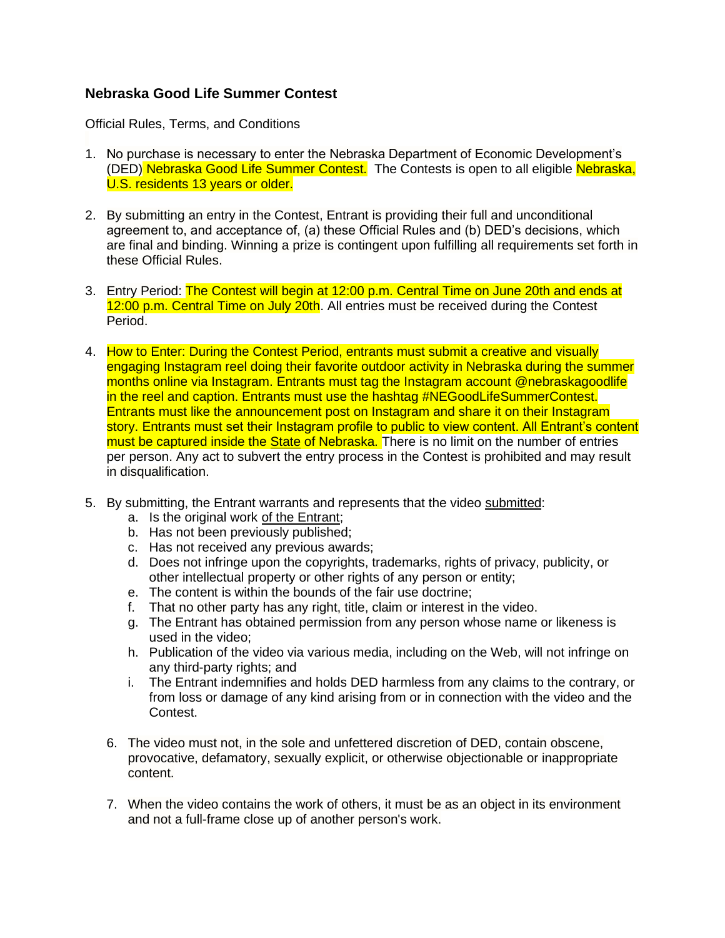## **Nebraska Good Life Summer Contest**

Official Rules, Terms, and Conditions

- 1. No purchase is necessary to enter the Nebraska Department of Economic Development's (DED) Nebraska Good Life Summer Contest. The Contests is open to all eligible Nebraska, U.S. residents 13 years or older.
- 2. By submitting an entry in the Contest, Entrant is providing their full and unconditional agreement to, and acceptance of, (a) these Official Rules and (b) DED's decisions, which are final and binding. Winning a prize is contingent upon fulfilling all requirements set forth in these Official Rules.
- 3. Entry Period: The Contest will begin at 12:00 p.m. Central Time on June 20th and ends at 12:00 p.m. Central Time on July 20th. All entries must be received during the Contest Period.
- 4. How to Enter: During the Contest Period, entrants must submit a creative and visually engaging Instagram reel doing their favorite outdoor activity in Nebraska during the summer months online via Instagram. Entrants must tag the Instagram account @nebraskagoodlife in the reel and caption. Entrants must use the hashtag #NEGoodLifeSummerContest. Entrants must like the announcement post on Instagram and share it on their Instagram story. Entrants must set their Instagram profile to public to view content. All Entrant's content must be captured inside the **State of Nebraska.** There is no limit on the number of entries per person. Any act to subvert the entry process in the Contest is prohibited and may result in disqualification.
- 5. By submitting, the Entrant warrants and represents that the video submitted:
	- a. Is the original work of the Entrant;
	- b. Has not been previously published;
	- c. Has not received any previous awards;
	- d. Does not infringe upon the copyrights, trademarks, rights of privacy, publicity, or other intellectual property or other rights of any person or entity;
	- e. The content is within the bounds of the fair use doctrine;
	- f. That no other party has any right, title, claim or interest in the video.
	- g. The Entrant has obtained permission from any person whose name or likeness is used in the video;
	- h. Publication of the video via various media, including on the Web, will not infringe on any third-party rights; and
	- i. The Entrant indemnifies and holds DED harmless from any claims to the contrary, or from loss or damage of any kind arising from or in connection with the video and the Contest.
	- 6. The video must not, in the sole and unfettered discretion of DED, contain obscene, provocative, defamatory, sexually explicit, or otherwise objectionable or inappropriate content.
	- 7. When the video contains the work of others, it must be as an object in its environment and not a full-frame close up of another person's work.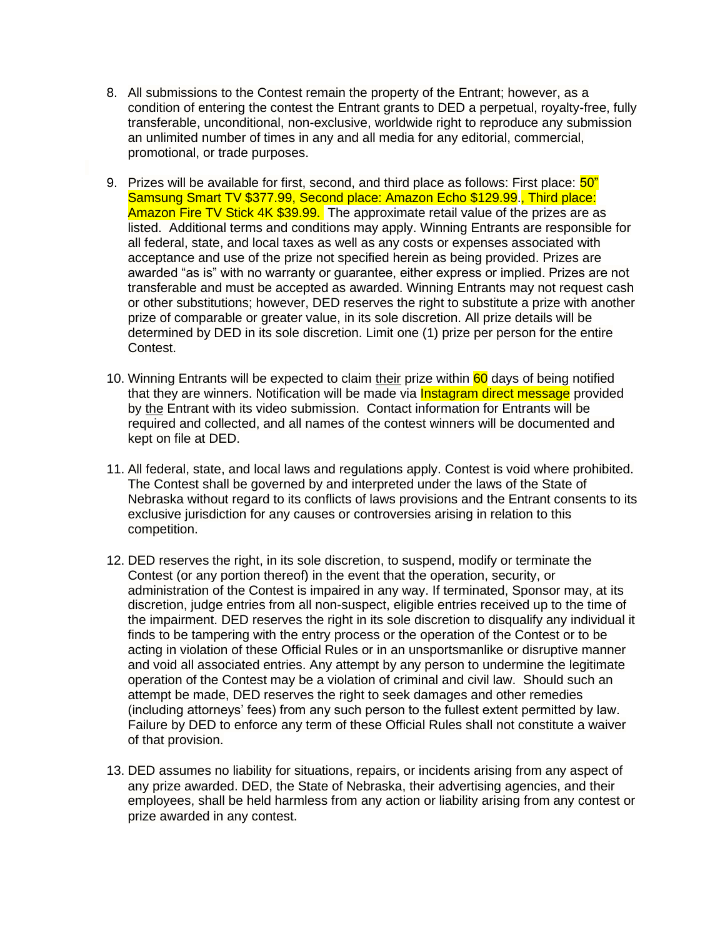- 8. All submissions to the Contest remain the property of the Entrant; however, as a condition of entering the contest the Entrant grants to DED a perpetual, royalty-free, fully transferable, unconditional, non-exclusive, worldwide right to reproduce any submission an unlimited number of times in any and all media for any editorial, commercial, promotional, or trade purposes.
- 9. Prizes will be available for first, second, and third place as follows: First place:  $50"$ Samsung Smart TV \$377.99, Second place: Amazon Echo \$129.99., Third place: Amazon Fire TV Stick 4K \$39.99. The approximate retail value of the prizes are as listed. Additional terms and conditions may apply. Winning Entrants are responsible for all federal, state, and local taxes as well as any costs or expenses associated with acceptance and use of the prize not specified herein as being provided. Prizes are awarded "as is" with no warranty or guarantee, either express or implied. Prizes are not transferable and must be accepted as awarded. Winning Entrants may not request cash or other substitutions; however, DED reserves the right to substitute a prize with another prize of comparable or greater value, in its sole discretion. All prize details will be determined by DED in its sole discretion. Limit one (1) prize per person for the entire Contest.
- 10. Winning Entrants will be expected to claim their prize within 60 days of being notified that they are winners. Notification will be made via **Instagram direct message** provided by the Entrant with its video submission. Contact information for Entrants will be required and collected, and all names of the contest winners will be documented and kept on file at DED.
- 11. All federal, state, and local laws and regulations apply. Contest is void where prohibited. The Contest shall be governed by and interpreted under the laws of the State of Nebraska without regard to its conflicts of laws provisions and the Entrant consents to its exclusive jurisdiction for any causes or controversies arising in relation to this competition.
- 12. DED reserves the right, in its sole discretion, to suspend, modify or terminate the Contest (or any portion thereof) in the event that the operation, security, or administration of the Contest is impaired in any way. If terminated, Sponsor may, at its discretion, judge entries from all non-suspect, eligible entries received up to the time of the impairment. DED reserves the right in its sole discretion to disqualify any individual it finds to be tampering with the entry process or the operation of the Contest or to be acting in violation of these Official Rules or in an unsportsmanlike or disruptive manner and void all associated entries. Any attempt by any person to undermine the legitimate operation of the Contest may be a violation of criminal and civil law. Should such an attempt be made, DED reserves the right to seek damages and other remedies (including attorneys' fees) from any such person to the fullest extent permitted by law. Failure by DED to enforce any term of these Official Rules shall not constitute a waiver of that provision.
- 13. DED assumes no liability for situations, repairs, or incidents arising from any aspect of any prize awarded. DED, the State of Nebraska, their advertising agencies, and their employees, shall be held harmless from any action or liability arising from any contest or prize awarded in any contest.